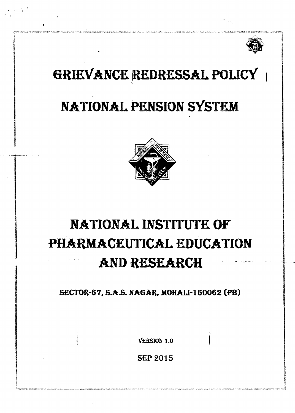

# GRIEVANCE REDRESSAL POLICY

# NATIONAL PENSION SYSTEM



# **NATIONAL INSTITUTE OF** PHARMACEUTICAL EDUCATION **AND RESEARCH**

SECTOR-67, S.A.S. NAGAR, MOHALI-160062 (PB)

**VERSION 1.0** 

**SEP 2015**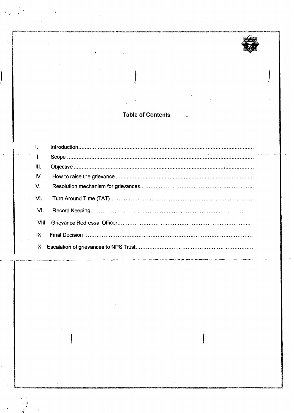# **Table of Contents**

| $\mathbf{L}$    |  |
|-----------------|--|
| $\mathbf{II}$ . |  |
| III.            |  |
| IV.             |  |
| V.              |  |
| VI.             |  |
| VII.            |  |
|                 |  |
| IX              |  |
|                 |  |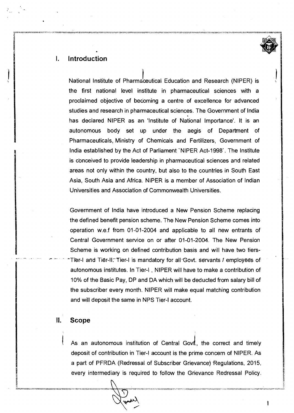

# **I. Introduction**

National Institute of Pharmaceutical Education and Research (NIPER) is the first national level institute in pharmaceutical sciences with a proclaimed objective of becoming a centre of excellence for advanced studies and research in pharmaceutical sciences. The Government of lndia has declared NIPER as an 'Institute of National Importance'. It is an autonomous body set up under the aegis of Department of Pharmaceuticals, Ministry of Chemicals and Fertilizers, Government of lndia established by the Act of Parliament 'NIPER Act-1998'. The Institute is conceived to provide leadership in pharmaceutical sciences and related areas not only within the country, but also to the countries in South East Asia, South Asia and Africa. NIPER is a member of Association of Indian Universities and Association of Commonwealth Universities.

Government of lndia have introduced a New Pension Scheme replacing the defined benefit pension scheme. The New Pension Scheme comes into operation w.e.f from 01-01-2004 and applicable to all new entrants of Central Government service on or after 01-01-2004. The New Pension Scheme is working on defined contribution basis and will have two tiers- Tier-I and Tier-II: Tier-I is mandatory for all Govt. servants I employees of autonomous institutes. In Tier-l , NIPER will have to make a contribution of 10% of the Basic Pay, DP and DA which will be deducted from salary bill of the subscriber every month. NIPER will make equal matching contribution and will deposit the same in NPS Tier-l account.

### **II. Scope**

As an autonomous institution of Central Govi., the correct and timely deposit of contribution in Tier-l account is the prime concern of hllPER. As a part of PFRDA (Redressal of Subscriber Grievance) Regulations, 2015, every intermediary is required to follow the Grievance Redressal Policy.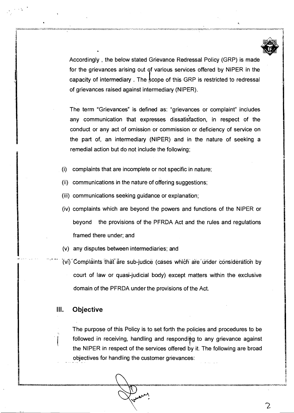

2

Accordingly , the below stated Grievance Redressal Policy (GRP) is made for the grievances arising out of various services offered by NIPER in the capacity of intermediary. The scope of this GRP is restricted to redressal of grievances raised against intermediary (NIPER).

The term "Grievances" is defined as: "grievances or complaint" includes any communication that expresses dissatisfaction, in respect of the conduct or any act of omission or commission or deficiency of service on the part of, an intermediary (NIPER) and in the nature of seeking a remedial action but do not include the following;

- (i) complaints that are incomplete or not specific in nature;
- (ii) communications in the nature of offering suggestions;
- (iii) communications seeking guidance or explanation;
- (iv) complaints which are beyond the powers and functions of the NIPER or beyond the provisions of the PFRDA Act and the rules and regulations framed there under; and
- (v) any disputes between intermediaries; and
- $(v_i)$  Complaints that are sub-judice (cases which are under consideration by court of law or quasi-judicial body) except matters within the exclusive domain of the PFRDA under the provisions of the Act.

# **III.** Objective

The purpose of this Policy is to set forth the policies and procedures to be followed in receiving, handling and responding to any grievance against the NIPER in respect of the services offered by it. The following are broad objectives for handling the customer grievances: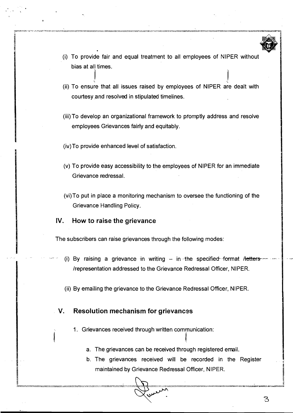- (i) To provide fair and equal treatment to all employees of NIPER without bias at all times.
- (ii) To ensure that all issues raised by employees of NIPER are dealt with courtesy and resolved in stipulated timelines.
- (iii) To develop an organizational framework to promptly address and resolve employees Grievances fairly and equitably.
- (iv)To provide enhanced level of satisfaction. **I**
- (v) To provide easy accessibility to the employees of NIPER for an immediate Grievance redressal.
- (vi)To put in place a monitoring mechanism to oversee the functioning of the Grievance Handling Policy.

# **IV. How to raise the grievance**

**I** 

The subscribers can raise grievances through the following modes:

- (i) By raising a grievance in writing  $-$  in the specified-format Hetters-/representation addressed to the Grievance Redressal Officer, NIPER.
- (ii) By emailing the grievance to the Grievance Redressal Officer, NIPER.

# **V. Resolution mechanism for grievances**

I I

- 1. Grievances received through written communication:
	- a. The grievances can be received through registered email.
	- b. The grievances received will be recorded in the Register maintained by Grievance Redressal Officer, NIPER.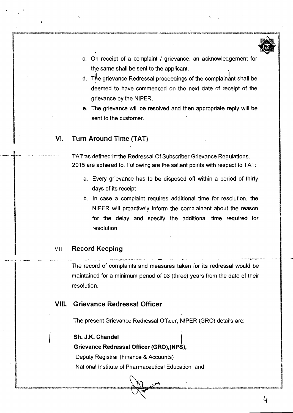

- c. On receipt of a complaint / grievance, an acknowledgement for the same shall be sent to the applicant.
- d. The grievance Redressal proceedings of the complainant shall be deemed to have commenced on the next date of receipt of the grievance by the NIPER.
- e. The grievance will be resolved and then appropriate reply will be sent to the customer.

# **Vl. Turn Around Time (TAT)**

TAT as defined in the Redressal Of Subscriber Grievance Regulations, 2015 are adhered to. Following are the salient points with respect to TAT:

- a. Every grievance has to be disposed off within a period of thirty days of its receipt
- b. In case a complaint requires additional time for resolution, the NIPER will proactively inform the complainant about the reason for the delay and specify the additional time **required for**  resolution.

# VII **Record Keeping**

- **.-I** -..,- - \_I--- ,\_- - . -- - -. - \*- - .,-- -&--- --- 'The record of complaints and measures taken for its redressal would be maintained for a minimum period of 03 (three) years from the date of their resolution.

# **Vlll. Grievance Redressal Officer**

The present Grievance Redressal Officer, NIPER (GRO) details are:

# Sh. J.K. Chandel

#### Grievance Redressal Officer (GRO), (NPS),

Deputy Registrar (Finance & Accounts) National Institute of Pharmaceutical Education and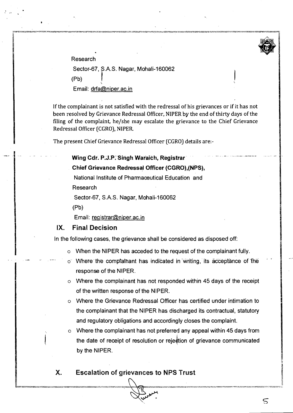

. . . , . . - , . .--.-- ... .. - --

Research Sector-67, S.A.S. Nagar, Mohali-160062  $(Pb)$ Email: drfa@niper.ac.in

If the complainant is not satisfied with the redressal of his grievances or if it has not been resolved by Grievance Redressal Officer, NIPER by the end of thirty days of the filing of the complaint, he/she may escalate the grievance to the Chief Grievance Redressal Officer [CGRO), NIPER

**<sup>1</sup>**The present Chief Grievance Redressal Officer [CGRO) details are:-

#### . . . . . . . .. . **Wing-Cdr. P.J.P.Sirigh Wai'aich, Registrar** '

#### **Chief Grievance Redressal Officer (CGRO),(NPS),**

National Institute of Pharmaceutical Education and

Research

Sector-67, S.A.S. Nagar, Mohali-160062

(Pb)

Email: reqistrar@niper.ac.in

## **IX. Final Decision**

In the following cases, the grievance shall be considered as disposed off:

- o When the NIPER has acceded to the request of the complainant fully.
- $\circ$  Where the comptathant has indicated in writing, its acceptance of the response of the NIPER.
- o Where the complainant has not responded within 45 days of the receipt of the written response of the NIPER.
- o Where the Grievance Redressal Officer has certified under intimation to the complainant that the NIPER has discharged its contractual, statutory and regulatory obligations and accordingly closes the complaint.
- o Where the complainant has not preferred any appeal within 45 days from the date of receipt of resolution or rejection of grievance communicated by the NIPER.

# **X. Escalation of grievances to NPS Trust**  n